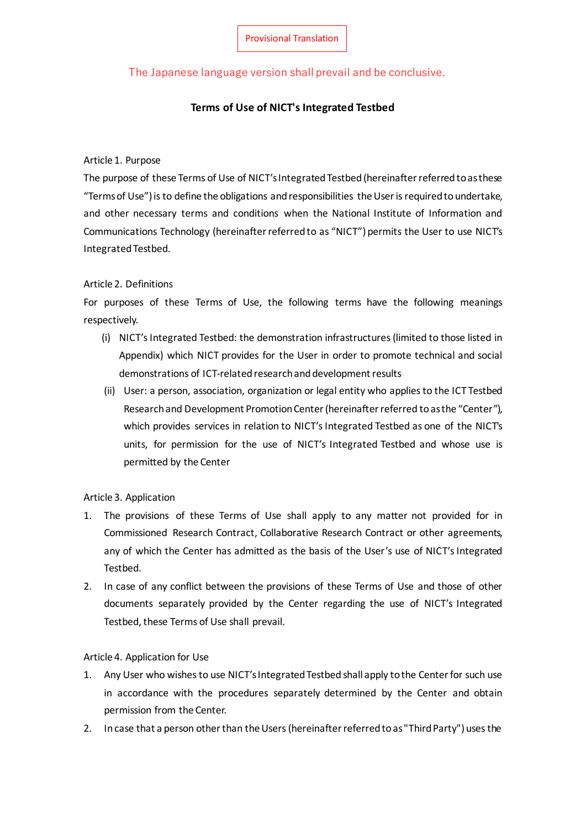# The Japanese language version shall prevail and be conclusive.

## **Terms of Use of NICT's Integrated Testbed**

#### Article 1. Purpose

The purpose of these Terms of Use of NICT's Integrated Testbed (hereinafter referred toas these "Terms of Use") isto define the obligations and responsibilities the Useris required to undertake, and other necessary terms and conditions when the National Institute of Information and Communications Technology (hereinafter referred to as "NICT") permits the User to use NICT's Integrated Testbed.

### Article 2. Definitions

For purposes of these Terms of Use, the following terms have the following meanings respectively.

- (i) NICT's Integrated Testbed: the demonstration infrastructures(limited to those listed in Appendix) which NICT provides for the User in order to promote technical and social demonstrations of ICT-related research and development results
- (ii) User: a person, association, organization or legal entity who applies to the ICT Testbed Research and Development Promotion Center (hereinafter referred toas the "Center"), which provides services in relation to NICT's Integrated Testbed as one of the NICT's units, for permission for the use of NICT's Integrated Testbed and whose use is permitted by the Center

### Article 3. Application

- 1. The provisions of these Terms of Use shall apply to any matter not provided for in Commissioned Research Contract, Collaborative Research Contract or other agreements, any of which the Center has admitted as the basis of the User's use of NICT's Integrated Testbed.
- 2. In case of any conflict between the provisions of these Terms of Use and those of other documents separately provided by the Center regarding the use of NICT's Integrated Testbed, these Terms of Use shall prevail.

### Article 4. Application for Use

- 1. Any User who wishesto use NICT's Integrated Testbed shall apply to the Center for such use in accordance with the procedures separately determined by the Center and obtain permission from the Center.
- 2. In case that a person other than the Users (hereinafter referred to as "Third Party") uses the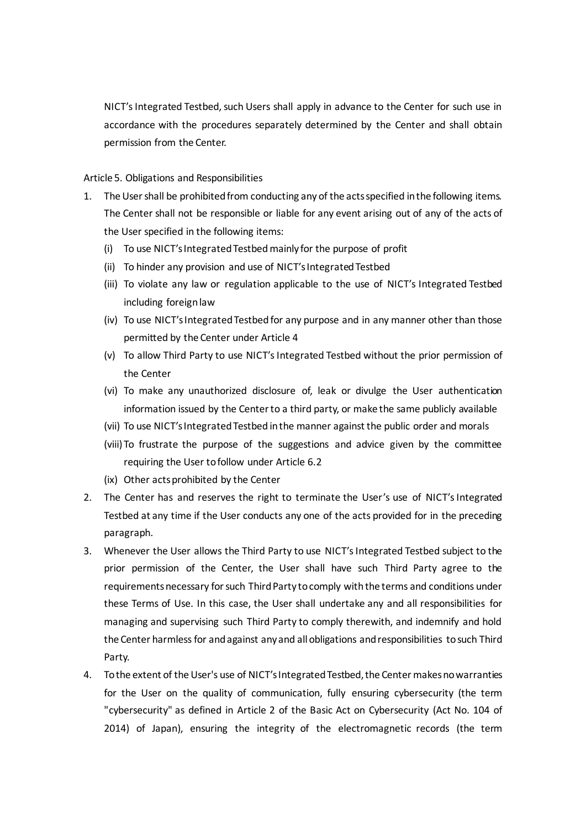NICT's Integrated Testbed, such Users shall apply in advance to the Center for such use in accordance with the procedures separately determined by the Center and shall obtain permission from the Center.

Article 5. Obligations and Responsibilities

- 1. The Usershall be prohibited from conducting any of the actsspecified in the following items. The Center shall not be responsible or liable for any event arising out of any of the acts of the User specified in the following items:
	- (i) To use NICT's Integrated Testbed mainly for the purpose of profit
	- (ii) To hinder any provision and use of NICT's Integrated Testbed
	- (iii) To violate any law or regulation applicable to the use of NICT's Integrated Testbed including foreign law
	- (iv) To use NICT's Integrated Testbed for any purpose and in any manner other than those permitted by the Center under Article 4
	- (v) To allow Third Party to use NICT's Integrated Testbed without the prior permission of the Center
	- (vi) To make any unauthorized disclosure of, leak or divulge the User authentication information issued by the Centerto a third party, or make the same publicly available
	- (vii) To use NICT's Integrated Testbed in the manner against the public order and morals
	- (viii) To frustrate the purpose of the suggestions and advice given by the committee requiring the User to follow under Article 6.2
	- (ix) Other actsprohibited by the Center
- 2. The Center has and reserves the right to terminate the User's use of NICT's Integrated Testbed at any time if the User conducts any one of the acts provided for in the preceding paragraph.
- 3. Whenever the User allows the Third Party to use NICT's Integrated Testbed subject to the prior permission of the Center, the User shall have such Third Party agree to the requirementsnecessary for such Third Party to comply with the terms and conditions under these Terms of Use. In this case, the User shall undertake any and all responsibilities for managing and supervising such Third Party to comply therewith, and indemnify and hold the Center harmless for and against any and all obligations and responsibilities to such Third Party.
- 4. To the extent of the User's use of NICT's Integrated Testbed,the Center makesno warranties for the User on the quality of communication, fully ensuring cybersecurity (the term "cybersecurity" as defined in Article 2 of the Basic Act on Cybersecurity (Act No. 104 of 2014) of Japan), ensuring the integrity of the electromagnetic records (the term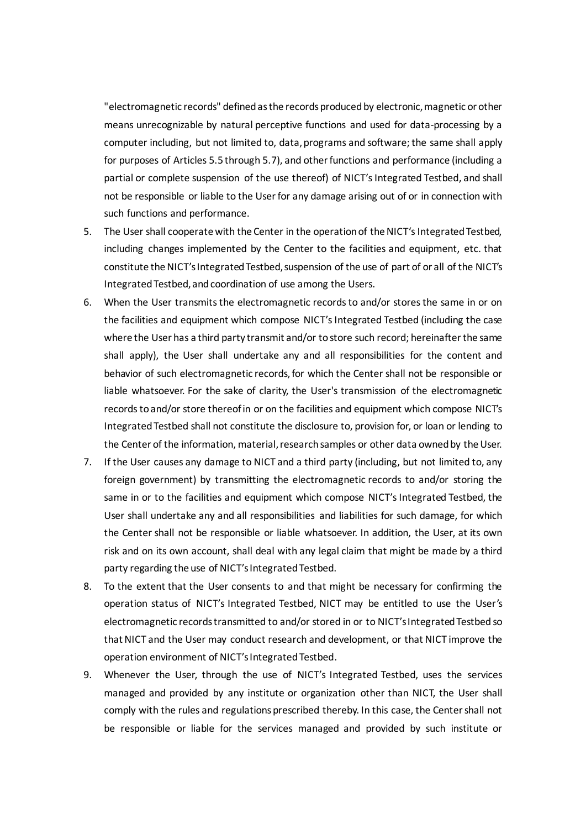"electromagnetic records" defined asthe records producedby electronic, magnetic or other means unrecognizable by natural perceptive functions and used for data-processing by a computer including, but not limited to, data, programs and software; the same shall apply for purposes of Articles 5.5 through 5.7), and other functions and performance (including a partial or complete suspension of the use thereof) of NICT's Integrated Testbed, and shall not be responsible or liable to the User for any damage arising out of or in connection with such functions and performance.

- 5. The User shall cooperate with the Center in the operation of the NICT's Integrated Testbed, including changes implemented by the Center to the facilities and equipment, etc. that constitute the NICT's Integrated Testbed, suspension of the use of part of or all of the NICT's Integrated Testbed, and coordination of use among the Users.
- 6. When the User transmits the electromagnetic records to and/or stores the same in or on the facilities and equipment which compose NICT's Integrated Testbed (including the case where the User has a third party transmit and/or to store such record; hereinafterthe same shall apply), the User shall undertake any and all responsibilities for the content and behavior of such electromagnetic records, for which the Center shall not be responsible or liable whatsoever. For the sake of clarity, the User's transmission of the electromagnetic records toand/or store thereof in or on the facilities and equipment which compose NICT's Integrated Testbed shall not constitute the disclosure to, provision for, or loan or lending to the Center of the information, material, researchsamples or other data owned by the User.
- 7. If the User causes any damage to NICT and a third party (including, but not limited to, any foreign government) by transmitting the electromagnetic records to and/or storing the same in or to the facilities and equipment which compose NICT's Integrated Testbed, the User shall undertake any and all responsibilities and liabilities for such damage, for which the Center shall not be responsible or liable whatsoever. In addition, the User, at its own risk and on its own account, shall deal with any legal claim that might be made by a third party regarding the use of NICT's Integrated Testbed.
- 8. To the extent that the User consents to and that might be necessary for confirming the operation status of NICT's Integrated Testbed, NICT may be entitled to use the User's electromagnetic recordstransmitted to and/or stored in or to NICT's Integrated Testbed so that NICT and the User may conduct research and development, or that NICT improve the operation environment of NICT's Integrated Testbed.
- 9. Whenever the User, through the use of NICT's Integrated Testbed, uses the services managed and provided by any institute or organization other than NICT, the User shall comply with the rules and regulations prescribed thereby. In this case, the Center shall not be responsible or liable for the services managed and provided by such institute or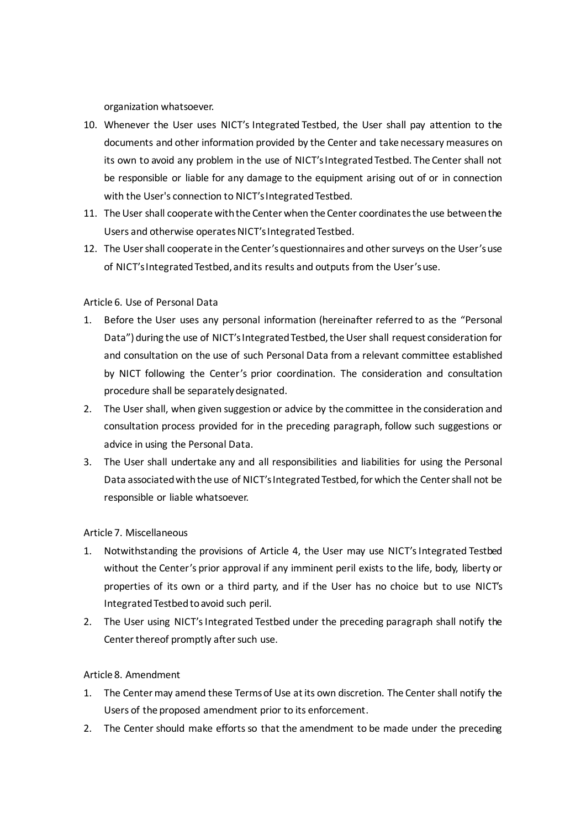organization whatsoever.

- 10. Whenever the User uses NICT's Integrated Testbed, the User shall pay attention to the documents and other information provided by the Center and take necessary measures on its own to avoid any problem in the use of NICT's Integrated Testbed. The Center shall not be responsible or liable for any damage to the equipment arising out of or in connection with the User's connection to NICT's Integrated Testbed.
- 11. The User shall cooperate with the Center when the Center coordinatesthe use between the Users and otherwise operates NICT's Integrated Testbed.
- 12. The User shall cooperate in the Center's questionnaires and other surveys on the User's use of NICT's Integrated Testbed,and its results and outputs from the User's use.

### Article 6. Use of Personal Data

- 1. Before the User uses any personal information (hereinafter referred to as the "Personal Data") during the use of NICT's Integrated Testbed, the User shall request consideration for and consultation on the use of such Personal Data from a relevant committee established by NICT following the Center's prior coordination. The consideration and consultation procedure shall be separately designated.
- 2. The User shall, when given suggestion or advice by the committee in the consideration and consultation process provided for in the preceding paragraph, follow such suggestions or advice in using the Personal Data.
- 3. The User shall undertake any and all responsibilities and liabilities for using the Personal Data associated with the use of NICT's Integrated Testbed, for which the Center shall not be responsible or liable whatsoever.

### Article 7. Miscellaneous

- 1. Notwithstanding the provisions of Article 4, the User may use NICT's Integrated Testbed without the Center's prior approval if any imminent peril exists to the life, body, liberty or properties of its own or a third party, and if the User has no choice but to use NICT's Integrated Testbed to avoid such peril.
- 2. The User using NICT's Integrated Testbed under the preceding paragraph shall notify the Center thereof promptly after such use.

### Article 8. Amendment

- 1. The Center may amend these Terms of Use at its own discretion. The Center shall notify the Users of the proposed amendment prior to its enforcement.
- 2. The Center should make efforts so that the amendment to be made under the preceding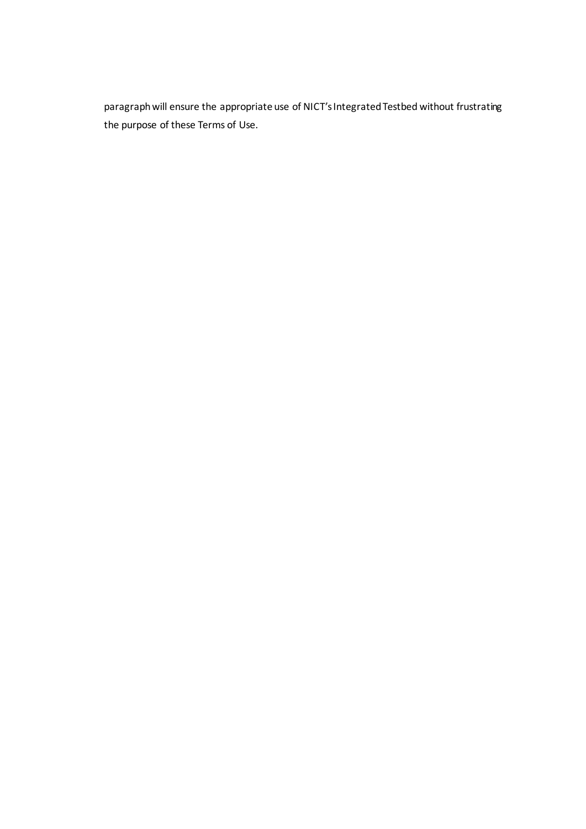paragraph will ensure the appropriate use of NICT's Integrated Testbed without frustrating the purpose of these Terms of Use.